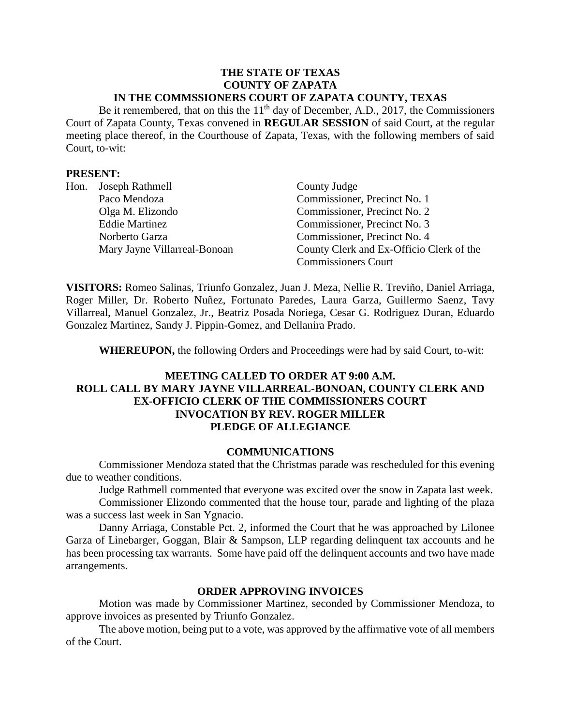#### **THE STATE OF TEXAS COUNTY OF ZAPATA IN THE COMMSSIONERS COURT OF ZAPATA COUNTY, TEXAS**

Be it remembered, that on this the  $11<sup>th</sup>$  day of December, A.D., 2017, the Commissioners Court of Zapata County, Texas convened in **REGULAR SESSION** of said Court, at the regular meeting place thereof, in the Courthouse of Zapata, Texas, with the following members of said Court, to-wit:

### **PRESENT:**

| Hon. | Joseph Rathmell              | County Judge                             |
|------|------------------------------|------------------------------------------|
|      | Paco Mendoza                 | Commissioner, Precinct No. 1             |
|      | Olga M. Elizondo             | Commissioner, Precinct No. 2             |
|      | <b>Eddie Martinez</b>        | Commissioner, Precinct No. 3             |
|      | Norberto Garza               | Commissioner, Precinct No. 4             |
|      | Mary Jayne Villarreal-Bonoan | County Clerk and Ex-Officio Clerk of the |
|      |                              | <b>Commissioners Court</b>               |

**VISITORS:** Romeo Salinas, Triunfo Gonzalez, Juan J. Meza, Nellie R. Treviño, Daniel Arriaga, Roger Miller, Dr. Roberto Nuñez, Fortunato Paredes, Laura Garza, Guillermo Saenz, Tavy Villarreal, Manuel Gonzalez, Jr., Beatriz Posada Noriega, Cesar G. Rodriguez Duran, Eduardo Gonzalez Martinez, Sandy J. Pippin-Gomez, and Dellanira Prado.

**WHEREUPON,** the following Orders and Proceedings were had by said Court, to-wit:

# **MEETING CALLED TO ORDER AT 9:00 A.M. ROLL CALL BY MARY JAYNE VILLARREAL-BONOAN, COUNTY CLERK AND EX-OFFICIO CLERK OF THE COMMISSIONERS COURT INVOCATION BY REV. ROGER MILLER PLEDGE OF ALLEGIANCE**

### **COMMUNICATIONS**

Commissioner Mendoza stated that the Christmas parade was rescheduled for this evening due to weather conditions.

Judge Rathmell commented that everyone was excited over the snow in Zapata last week.

Commissioner Elizondo commented that the house tour, parade and lighting of the plaza was a success last week in San Ygnacio.

Danny Arriaga, Constable Pct. 2, informed the Court that he was approached by Lilonee Garza of Linebarger, Goggan, [Blair & Sampson, LLP](http://www.lgbs.com/) regarding delinquent tax accounts and he has been processing tax warrants. Some have paid off the delinquent accounts and two have made arrangements.

### **ORDER APPROVING INVOICES**

Motion was made by Commissioner Martinez, seconded by Commissioner Mendoza, to approve invoices as presented by Triunfo Gonzalez.

The above motion, being put to a vote, was approved by the affirmative vote of all members of the Court.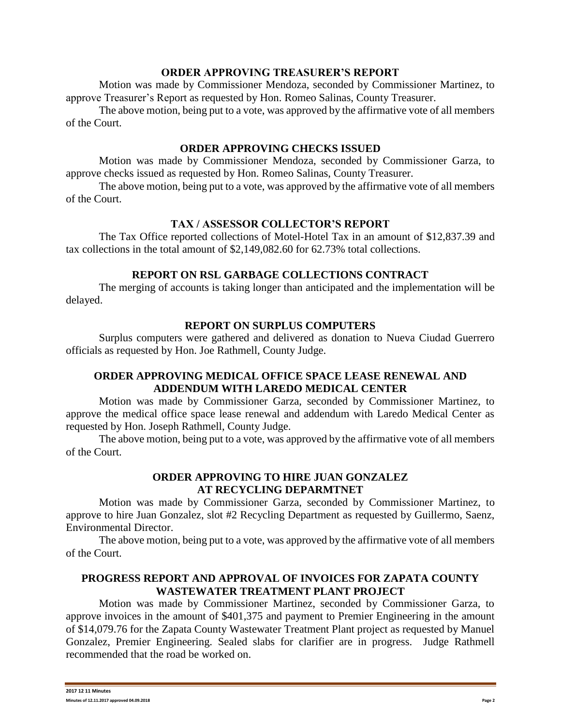#### **ORDER APPROVING TREASURER'S REPORT**

Motion was made by Commissioner Mendoza, seconded by Commissioner Martinez, to approve Treasurer's Report as requested by Hon. Romeo Salinas, County Treasurer.

The above motion, being put to a vote, was approved by the affirmative vote of all members of the Court.

### **ORDER APPROVING CHECKS ISSUED**

Motion was made by Commissioner Mendoza, seconded by Commissioner Garza, to approve checks issued as requested by Hon. Romeo Salinas, County Treasurer.

The above motion, being put to a vote, was approved by the affirmative vote of all members of the Court.

# **TAX / ASSESSOR COLLECTOR'S REPORT**

The Tax Office reported collections of Motel-Hotel Tax in an amount of \$12,837.39 and tax collections in the total amount of \$2,149,082.60 for 62.73% total collections.

# **REPORT ON RSL GARBAGE COLLECTIONS CONTRACT**

The merging of accounts is taking longer than anticipated and the implementation will be delayed.

# **REPORT ON SURPLUS COMPUTERS**

Surplus computers were gathered and delivered as donation to Nueva Ciudad Guerrero officials as requested by Hon. Joe Rathmell, County Judge.

# **ORDER APPROVING MEDICAL OFFICE SPACE LEASE RENEWAL AND ADDENDUM WITH LAREDO MEDICAL CENTER**

Motion was made by Commissioner Garza, seconded by Commissioner Martinez, to approve the medical office space lease renewal and addendum with Laredo Medical Center as requested by Hon. Joseph Rathmell, County Judge.

The above motion, being put to a vote, was approved by the affirmative vote of all members of the Court.

# **ORDER APPROVING TO HIRE JUAN GONZALEZ AT RECYCLING DEPARMTNET**

Motion was made by Commissioner Garza, seconded by Commissioner Martinez, to approve to hire Juan Gonzalez, slot #2 Recycling Department as requested by Guillermo, Saenz, Environmental Director.

The above motion, being put to a vote, was approved by the affirmative vote of all members of the Court.

### **PROGRESS REPORT AND APPROVAL OF INVOICES FOR ZAPATA COUNTY WASTEWATER TREATMENT PLANT PROJECT**

Motion was made by Commissioner Martinez, seconded by Commissioner Garza, to approve invoices in the amount of \$401,375 and payment to Premier Engineering in the amount of \$14,079.76 for the Zapata County Wastewater Treatment Plant project as requested by Manuel Gonzalez, Premier Engineering. Sealed slabs for clarifier are in progress. Judge Rathmell recommended that the road be worked on.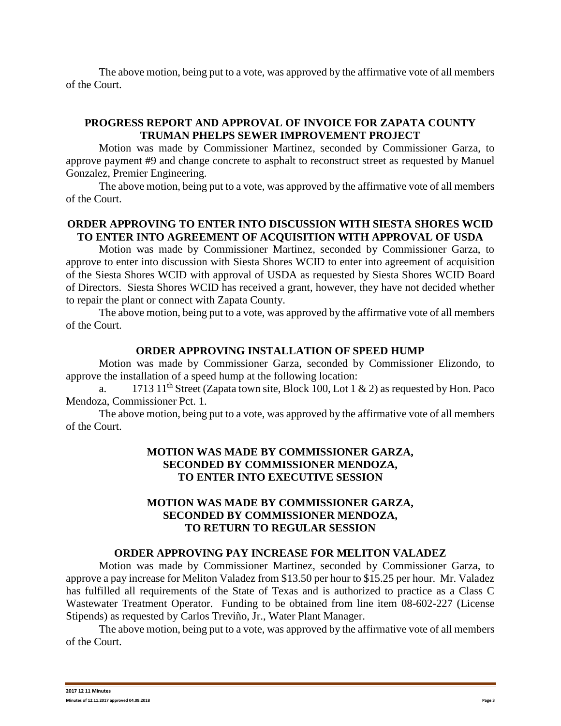The above motion, being put to a vote, was approved by the affirmative vote of all members of the Court.

# **PROGRESS REPORT AND APPROVAL OF INVOICE FOR ZAPATA COUNTY TRUMAN PHELPS SEWER IMPROVEMENT PROJECT**

Motion was made by Commissioner Martinez, seconded by Commissioner Garza, to approve payment #9 and change concrete to asphalt to reconstruct street as requested by Manuel Gonzalez, Premier Engineering.

The above motion, being put to a vote, was approved by the affirmative vote of all members of the Court.

# **ORDER APPROVING TO ENTER INTO DISCUSSION WITH SIESTA SHORES WCID TO ENTER INTO AGREEMENT OF ACQUISITION WITH APPROVAL OF USDA**

Motion was made by Commissioner Martinez, seconded by Commissioner Garza, to approve to enter into discussion with Siesta Shores WCID to enter into agreement of acquisition of the Siesta Shores WCID with approval of USDA as requested by Siesta Shores WCID Board of Directors. Siesta Shores WCID has received a grant, however, they have not decided whether to repair the plant or connect with Zapata County.

The above motion, being put to a vote, was approved by the affirmative vote of all members of the Court.

### **ORDER APPROVING INSTALLATION OF SPEED HUMP**

Motion was made by Commissioner Garza, seconded by Commissioner Elizondo, to approve the installation of a speed hump at the following location:

a. 1713 11<sup>th</sup> Street (Zapata town site, Block 100, Lot 1 & 2) as requested by Hon. Paco Mendoza, Commissioner Pct. 1.

The above motion, being put to a vote, was approved by the affirmative vote of all members of the Court.

# **MOTION WAS MADE BY COMMISSIONER GARZA, SECONDED BY COMMISSIONER MENDOZA, TO ENTER INTO EXECUTIVE SESSION**

## **MOTION WAS MADE BY COMMISSIONER GARZA, SECONDED BY COMMISSIONER MENDOZA, TO RETURN TO REGULAR SESSION**

#### **ORDER APPROVING PAY INCREASE FOR MELITON VALADEZ**

Motion was made by Commissioner Martinez, seconded by Commissioner Garza, to approve a pay increase for Meliton Valadez from \$13.50 per hour to \$15.25 per hour. Mr. Valadez has fulfilled all requirements of the State of Texas and is authorized to practice as a Class C Wastewater Treatment Operator. Funding to be obtained from line item 08-602-227 (License Stipends) as requested by Carlos Treviño, Jr., Water Plant Manager.

The above motion, being put to a vote, was approved by the affirmative vote of all members of the Court.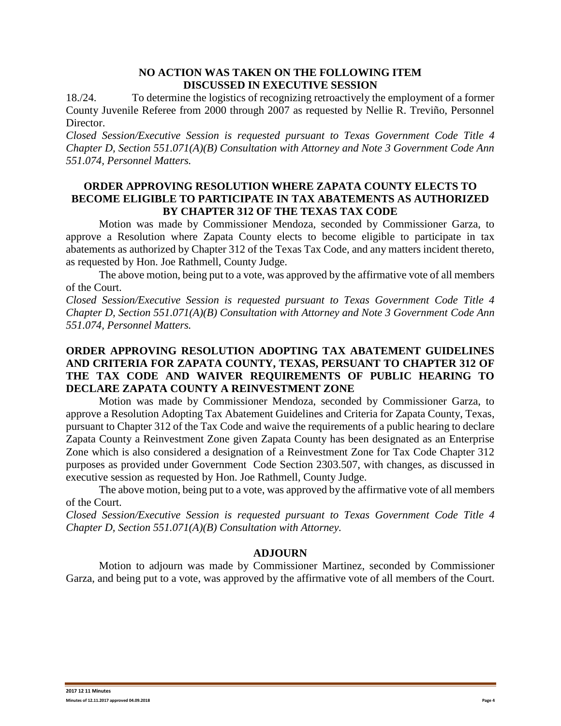### **NO ACTION WAS TAKEN ON THE FOLLOWING ITEM DISCUSSED IN EXECUTIVE SESSION**

18./24. To determine the logistics of recognizing retroactively the employment of a former County Juvenile Referee from 2000 through 2007 as requested by Nellie R. Treviño, Personnel Director.

*Closed Session/Executive Session is requested pursuant to Texas Government Code Title 4 Chapter D, Section 551.071(A)(B) Consultation with Attorney and Note 3 Government Code Ann 551.074, Personnel Matters.*

## **ORDER APPROVING RESOLUTION WHERE ZAPATA COUNTY ELECTS TO BECOME ELIGIBLE TO PARTICIPATE IN TAX ABATEMENTS AS AUTHORIZED BY CHAPTER 312 OF THE TEXAS TAX CODE**

Motion was made by Commissioner Mendoza, seconded by Commissioner Garza, to approve a Resolution where Zapata County elects to become eligible to participate in tax abatements as authorized by Chapter 312 of the Texas Tax Code, and any matters incident thereto, as requested by Hon. Joe Rathmell, County Judge.

The above motion, being put to a vote, was approved by the affirmative vote of all members of the Court.

*Closed Session/Executive Session is requested pursuant to Texas Government Code Title 4 Chapter D, Section 551.071(A)(B) Consultation with Attorney and Note 3 Government Code Ann 551.074, Personnel Matters.*

# **ORDER APPROVING RESOLUTION ADOPTING TAX ABATEMENT GUIDELINES AND CRITERIA FOR ZAPATA COUNTY, TEXAS, PERSUANT TO CHAPTER 312 OF THE TAX CODE AND WAIVER REQUIREMENTS OF PUBLIC HEARING TO DECLARE ZAPATA COUNTY A REINVESTMENT ZONE**

Motion was made by Commissioner Mendoza, seconded by Commissioner Garza, to approve a Resolution Adopting Tax Abatement Guidelines and Criteria for Zapata County, Texas, pursuant to Chapter 312 of the Tax Code and waive the requirements of a public hearing to declare Zapata County a Reinvestment Zone given Zapata County has been designated as an Enterprise Zone which is also considered a designation of a Reinvestment Zone for Tax Code Chapter 312 purposes as provided under Government Code Section 2303.507, with changes, as discussed in executive session as requested by Hon. Joe Rathmell, County Judge.

The above motion, being put to a vote, was approved by the affirmative vote of all members of the Court.

*Closed Session/Executive Session is requested pursuant to Texas Government Code Title 4 Chapter D, Section 551.071(A)(B) Consultation with Attorney.*

# **ADJOURN**

Motion to adjourn was made by Commissioner Martinez, seconded by Commissioner Garza, and being put to a vote, was approved by the affirmative vote of all members of the Court.